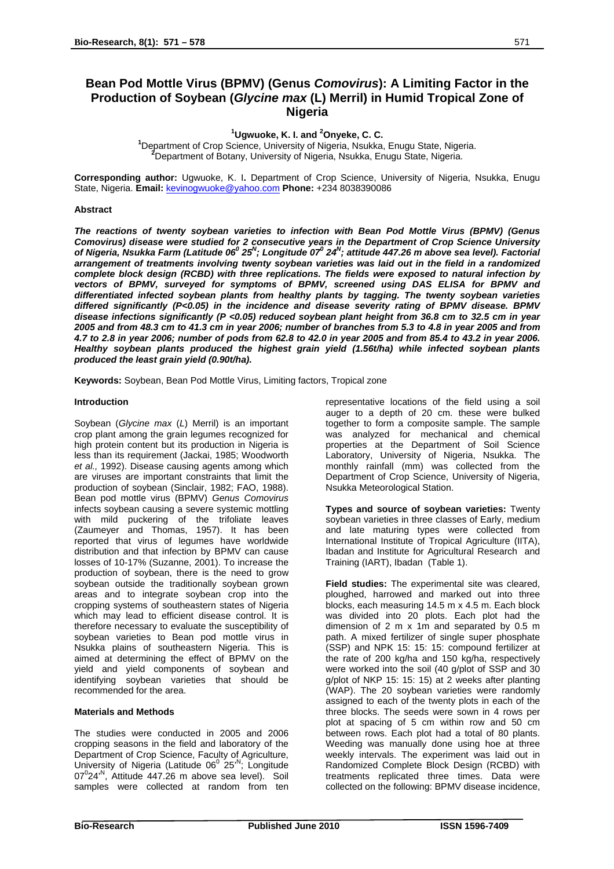**1 Ugwuoke, K. I. and <sup>2</sup> Ugwuoke, K. I. and <sup>2</sup>Onyeke, C. C.<br><sup>1</sup>Department of Crap Science, University of Nigeria, Naukka.** 

Department of Crop Science, University of Nigeria, Nsukka, Enugu State, Nigeria. **<sup>2</sup>** Department of Botany, University of Nigeria, Nsukka, Enugu State, Nigeria.

**Corresponding author:** Ugwuoke, K. I**.** Department of Crop Science, University of Nigeria, Nsukka, Enugu State, Nigeria. **Email:** [kevinogwuoke@yahoo.com](mailto:kevinogwuoke@yahoo.com) **Phone:** +234 8038390086

## **Abstract**

*The reactions of twenty soybean varieties to infection with Bean Pod Mottle Virus (BPMV) (Genus Comovirus) disease were studied for 2 consecutive years in the Department of Crop Science University* of Nigeria, Nsukka Farm (Latitude 06<sup>0</sup> 25<sup>N</sup>; Longitude 07<sup>0</sup> 24<sup>N</sup>; attitude 447.26 m above sea level). Factorial *arrangement of treatments involving twenty soybean varieties was laid out in the field in a randomized complete block design (RCBD) with three replications. The fields were exposed to natural infection by vectors of BPMV, surveyed for symptoms of BPMV, screened using DAS ELISA for BPMV and differentiated infected soybean plants from healthy plants by tagging. The twenty soybean varieties differed significantly (P<0.05) in the incidence and disease severity rating of BPMV disease. BPMV disease infections significantly (P <0.05) reduced soybean plant height from 36.8 cm to 32.5 cm in year 2005 and from 48.3 cm to 41.3 cm in year 2006; number of branches from 5.3 to 4.8 in year 2005 and from 4.7 to 2.8 in year 2006; number of pods from 62.8 to 42.0 in year 2005 and from 85.4 to 43.2 in year 2006. Healthy soybean plants produced the highest grain yield (1.56t/ha) while infected soybean plants produced the least grain yield (0.90t/ha).* 

**Keywords:** Soybean, Bean Pod Mottle Virus, Limiting factors, Tropical zone

## **Introduction**

Soybean (*Glycine max* (*L*) Merril) is an important crop plant among the grain legumes recognized for high protein content but its production in Nigeria is less than its requirement (Jackai, 1985; Woodworth *et al.,* 1992). Disease causing agents among which are viruses are important constraints that limit the production of soybean (Sinclair, 1982; FAO, 1988). Bean pod mottle virus (BPMV) *Genus Comovirus* infects soybean causing a severe systemic mottling with mild puckering of the trifoliate leaves (Zaumeyer and Thomas, 1957). It has been reported that virus of legumes have worldwide distribution and that infection by BPMV can cause losses of 10-17% (Suzanne, 2001). To increase the production of soybean, there is the need to grow soybean outside the traditionally soybean grown areas and to integrate soybean crop into the cropping systems of southeastern states of Nigeria which may lead to efficient disease control. It is therefore necessary to evaluate the susceptibility of soybean varieties to Bean pod mottle virus in Nsukka plains of southeastern Nigeria. This is aimed at determining the effect of BPMV on the yield and yield components of soybean and identifying soybean varieties that should be recommended for the area.

## **Materials and Methods**

The studies were conducted in 2005 and 2006 cropping seasons in the field and laboratory of the Department of Crop Science, Faculty of Agriculture, University of Nigeria (Latitude 06<sup>0</sup> 25<sup>N</sup>; Longitude  $07^{\circ}$ 24<sup>,N</sup>, Attitude 447.26 m above sea level). Soil samples were collected at random from ten

representative locations of the field using a soil auger to a depth of 20 cm. these were bulked together to form a composite sample. The sample was analyzed for mechanical and chemical properties at the Department of Soil Science Laboratory, University of Nigeria, Nsukka. The monthly rainfall (mm) was collected from the Department of Crop Science, University of Nigeria, Nsukka Meteorological Station.

**Types and source of soybean varieties:** Twenty soybean varieties in three classes of Early, medium and late maturing types were collected from International Institute of Tropical Agriculture (IITA), Ibadan and Institute for Agricultural Research and Training (IART), Ibadan (Table 1).

**Field studies:** The experimental site was cleared, ploughed, harrowed and marked out into three blocks, each measuring 14.5 m x 4.5 m. Each block was divided into 20 plots. Each plot had the dimension of 2 m x 1m and separated by 0.5 m path. A mixed fertilizer of single super phosphate (SSP) and NPK 15: 15: 15: compound fertilizer at the rate of 200 kg/ha and 150 kg/ha, respectively were worked into the soil (40 g/plot of SSP and 30 g/plot of NKP 15: 15: 15) at 2 weeks after planting (WAP). The 20 soybean varieties were randomly assigned to each of the twenty plots in each of the three blocks. The seeds were sown in 4 rows per plot at spacing of 5 cm within row and 50 cm between rows. Each plot had a total of 80 plants. Weeding was manually done using hoe at three weekly intervals. The experiment was laid out in Randomized Complete Block Design (RCBD) with treatments replicated three times. Data were collected on the following: BPMV disease incidence,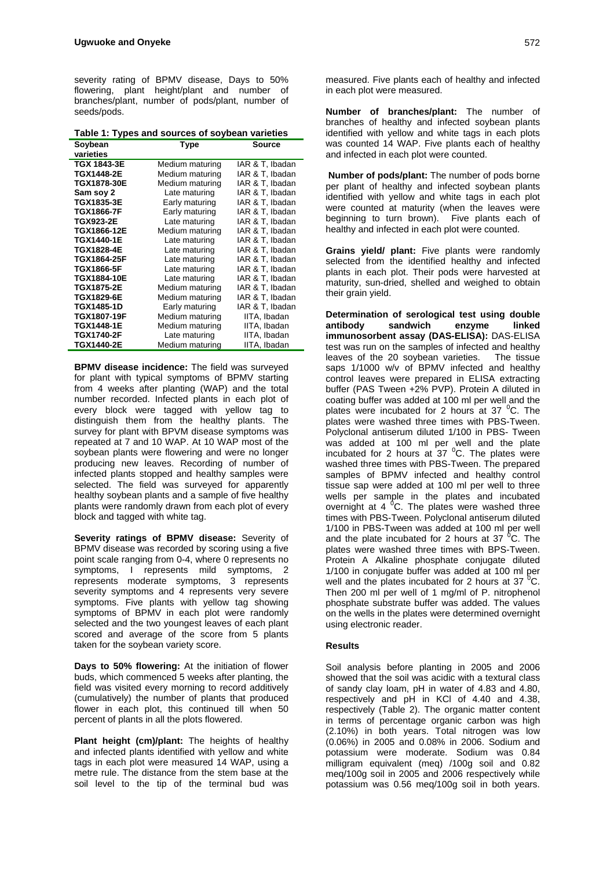severity rating of BPMV disease, Days to 50% flowering, plant height/plant and number of branches/plant, number of pods/plant, number of seeds/pods.

**Table 1: Types and sources of soybean varieties** 

| Soybean            | Type            | Source          |
|--------------------|-----------------|-----------------|
| varieties          |                 |                 |
| TGX 1843-3E        | Medium maturing | IAR & T, Ibadan |
| <b>TGX1448-2E</b>  | Medium maturing | IAR & T, Ibadan |
| TGX1878-30E        | Medium maturing | IAR & T. Ibadan |
| Sam soy 2          | Late maturing   | IAR & T, Ibadan |
| TGX1835-3E         | Early maturing  | IAR & T. Ibadan |
| <b>TGX1866-7F</b>  | Early maturing  | IAR & T, Ibadan |
| <b>TGX923-2E</b>   | Late maturing   | IAR & T, Ibadan |
| TGX1866-12E        | Medium maturing | IAR & T, Ibadan |
| <b>TGX1440-1E</b>  | Late maturing   | IAR & T. Ibadan |
| <b>TGX1828-4E</b>  | Late maturing   | IAR & T, Ibadan |
| <b>TGX1864-25F</b> | Late maturing   | IAR & T, Ibadan |
| TGX1866-5F         | Late maturing   | IAR & T, Ibadan |
| <b>TGX1884-10E</b> | Late maturing   | IAR & T, Ibadan |
| <b>TGX1875-2E</b>  | Medium maturing | IAR & T, Ibadan |
| TGX1829-6E         | Medium maturing | IAR & T, Ibadan |
| <b>TGX1485-1D</b>  | Early maturing  | IAR & T, Ibadan |
| <b>TGX1807-19F</b> | Medium maturing | IITA, Ibadan    |
| <b>TGX1448-1E</b>  | Medium maturing | IITA, Ibadan    |
| <b>TGX1740-2F</b>  | Late maturing   | IITA, Ibadan    |
| <b>TGX1440-2E</b>  | Medium maturing | IITA, Ibadan    |

**BPMV disease incidence:** The field was surveyed for plant with typical symptoms of BPMV starting from 4 weeks after planting (WAP) and the total number recorded. Infected plants in each plot of every block were tagged with yellow tag to distinguish them from the healthy plants. The survey for plant with BPVM disease symptoms was repeated at 7 and 10 WAP. At 10 WAP most of the soybean plants were flowering and were no longer producing new leaves. Recording of number of infected plants stopped and healthy samples were selected. The field was surveyed for apparently healthy soybean plants and a sample of five healthy plants were randomly drawn from each plot of every block and tagged with white tag.

**Severity ratings of BPMV disease:** Severity of BPMV disease was recorded by scoring using a five point scale ranging from 0-4, where 0 represents no symptoms, I represents mild symptoms, 2 represents moderate symptoms, 3 represents severity symptoms and 4 represents very severe symptoms. Five plants with yellow tag showing symptoms of BPMV in each plot were randomly selected and the two youngest leaves of each plant scored and average of the score from 5 plants taken for the soybean variety score.

**Days to 50% flowering:** At the initiation of flower buds, which commenced 5 weeks after planting, the field was visited every morning to record additively (cumulatively) the number of plants that produced flower in each plot, this continued till when 50 percent of plants in all the plots flowered.

**Plant height (cm)/plant:** The heights of healthy and infected plants identified with yellow and white tags in each plot were measured 14 WAP, using a metre rule. The distance from the stem base at the soil level to the tip of the terminal bud was measured. Five plants each of healthy and infected in each plot were measured.

**Number of branches/plant:** The number of branches of healthy and infected soybean plants identified with yellow and white tags in each plots was counted 14 WAP. Five plants each of healthy and infected in each plot were counted.

**Number of pods/plant:** The number of pods borne per plant of healthy and infected soybean plants identified with yellow and white tags in each plot were counted at maturity (when the leaves were beginning to turn brown). Five plants each of healthy and infected in each plot were counted.

**Grains yield/ plant:** Five plants were randomly selected from the identified healthy and infected plants in each plot. Their pods were harvested at maturity, sun-dried, shelled and weighed to obtain their grain yield.

**Determination of serological test using double antibody sandwich enzyme linked immunosorbent assay (DAS-ELISA):** DAS-ELISA test was run on the samples of infected and healthy leaves of the 20 soybean varieties. The tissue saps 1/1000 w/v of BPMV infected and healthy control leaves were prepared in ELISA extracting buffer (PAS Tween +2% PVP). Protein A diluted in coating buffer was added at 100 ml per well and the plates were incubated for 2 hours at 37 <sup>o</sup>C. The plates were washed three times with PBS-Tween. Polyclonal antiserum diluted 1/100 in PBS- Tween was added at 100 ml per well and the plate incubated for 2 hours at 37  $^0$ C. The plates were washed three times with PBS-Tween. The prepared samples of BPMV infected and healthy control tissue sap were added at 100 ml per well to three wells per sample in the plates and incubated overnight at 4  $^{0}$ C. The plates were washed three times with PBS-Tween. Polyclonal antiserum diluted 1/100 in PBS-Tween was added at 100 ml per well and the plate incubated for 2 hours at 37  ${}^{0}C$ . The plates were washed three times with BPS-Tween. Protein A Alkaline phosphate conjugate diluted 1/100 in conjugate buffer was added at 100 ml per well and the plates incubated for 2 hours at 37 $\mathrm{^{0}C}$ . Then 200 ml per well of 1 mg/ml of P. nitrophenol phosphate substrate buffer was added. The values on the wells in the plates were determined overnight using electronic reader.

# **Results**

Soil analysis before planting in 2005 and 2006 showed that the soil was acidic with a textural class of sandy clay loam, pH in water of 4.83 and 4.80, respectively and pH in KCl of 4.40 and 4.38, respectively (Table 2). The organic matter content in terms of percentage organic carbon was high (2.10%) in both years. Total nitrogen was low (0.06%) in 2005 and 0.08% in 2006. Sodium and potassium were moderate. Sodium was 0.84 milligram equivalent (meq) /100g soil and 0.82 meq/100g soil in 2005 and 2006 respectively while potassium was 0.56 meq/100g soil in both years.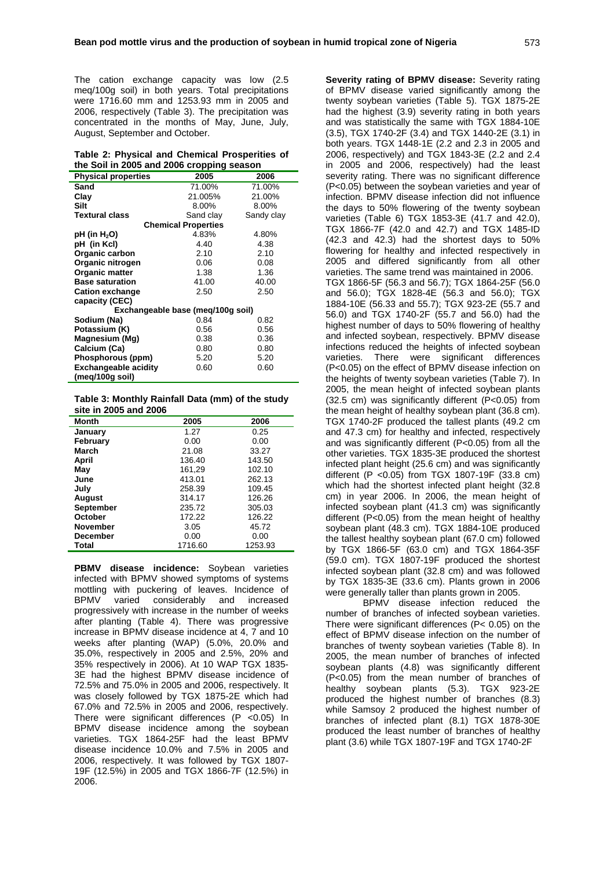The cation exchange capacity was low (2.5 meq/100g soil) in both years. Total precipitations were 1716.60 mm and 1253.93 mm in 2005 and 2006, respectively (Table 3). The precipitation was concentrated in the months of May, June, July, August, September and October.

|  |  | Table 2: Physical and Chemical Prosperities of |  |
|--|--|------------------------------------------------|--|
|  |  | the Soil in 2005 and 2006 cropping season      |  |

|                                   | <u>, a, application</u>    |            |
|-----------------------------------|----------------------------|------------|
| <b>Physical properties</b>        | 2005                       | 2006       |
| Sand                              | 71.00%                     | 71.00%     |
| Clay                              | 21.005%                    | 21.00%     |
| Silt                              | 8.00%                      | 8.00%      |
| <b>Textural class</b>             | Sand clay                  | Sandy clay |
|                                   | <b>Chemical Properties</b> |            |
| pH (in H <sub>2</sub> O)          | 4.83%                      | 4.80%      |
| pH (in Kcl)                       | 4.40                       | 4.38       |
| Organic carbon                    | 2.10                       | 2.10       |
| Organic nitrogen                  | 0.06                       | 0.08       |
| <b>Organic matter</b>             | 1.38                       | 1.36       |
| <b>Base saturation</b>            | 41.00                      | 40.00      |
| <b>Cation exchange</b>            | 2.50                       | 2.50       |
| capacity (CEC)                    |                            |            |
| Exchangeable base (meg/100g soil) |                            |            |
| Sodium (Na)                       | 0.84                       | 0.82       |
| Potassium (K)                     | 0.56                       | 0.56       |
| Magnesium (Mg)                    | 0.38                       | 0.36       |
| Calcium (Ca)                      | 0.80                       | 0.80       |
| Phosphorous (ppm)                 | 5.20                       | 5.20       |
| <b>Exchangeable acidity</b>       | 0.60                       | 0.60       |
| (meg/100g soil)                   |                            |            |

**Table 3: Monthly Rainfall Data (mm) of the study site in 2005 and 2006** 

| <b>Month</b>     | 2005    | 2006    |
|------------------|---------|---------|
| January          | 1.27    | 0.25    |
| February         | 0.00    | 0.00    |
| March            | 21.08   | 33.27   |
| April            | 136.40  | 143.50  |
| May              | 161,29  | 102.10  |
| June             | 413.01  | 262.13  |
| July             | 258.39  | 109.45  |
| August           | 314.17  | 126.26  |
| <b>September</b> | 235.72  | 305.03  |
| October          | 172.22  | 126.22  |
| <b>November</b>  | 3.05    | 45.72   |
| <b>December</b>  | 0.00    | 0.00    |
| Total            | 1716.60 | 1253.93 |

**PBMV disease incidence:** Soybean varieties infected with BPMV showed symptoms of systems mottling with puckering of leaves. Incidence of BPMV varied considerably and increased progressively with increase in the number of weeks after planting (Table 4). There was progressive increase in BPMV disease incidence at 4, 7 and 10 weeks after planting (WAP) (5.0%, 20.0% and 35.0%, respectively in 2005 and 2.5%, 20% and 35% respectively in 2006). At 10 WAP TGX 1835- 3E had the highest BPMV disease incidence of 72.5% and 75.0% in 2005 and 2006, respectively. It was closely followed by TGX 1875-2E which had 67.0% and 72.5% in 2005 and 2006, respectively. There were significant differences  $(P < 0.05)$  In BPMV disease incidence among the soybean varieties. TGX 1864-25F had the least BPMV disease incidence 10.0% and 7.5% in 2005 and 2006, respectively. It was followed by TGX 1807- 19F (12.5%) in 2005 and TGX 1866-7F (12.5%) in 2006.

**Severity rating of BPMV disease:** Severity rating of BPMV disease varied significantly among the twenty soybean varieties (Table 5). TGX 1875-2E had the highest (3.9) severity rating in both years and was statistically the same with TGX 1884-10E (3.5), TGX 1740-2F (3.4) and TGX 1440-2E (3.1) in both years. TGX 1448-1E (2.2 and 2.3 in 2005 and 2006, respectively) and TGX 1843-3E (2.2 and 2.4 in 2005 and 2006, respectively) had the least severity rating. There was no significant difference (P<0.05) between the soybean varieties and year of infection. BPMV disease infection did not influence the days to 50% flowering of the twenty soybean varieties (Table 6) TGX 1853-3E (41.7 and 42.0), TGX 1866-7F (42.0 and 42.7) and TGX 1485-ID (42.3 and 42.3) had the shortest days to 50% flowering for healthy and infected respectively in 2005 and differed significantly from all other varieties. The same trend was maintained in 2006. TGX 1866-5F (56.3 and 56.7); TGX 1864-25F (56.0 and 56.0); TGX 1828-4E (56.3 and 56.0); TGX 1884-10E (56.33 and 55.7); TGX 923-2E (55.7 and 56.0) and TGX 1740-2F (55.7 and 56.0) had the highest number of days to 50% flowering of healthy and infected soybean, respectively. BPMV disease infections reduced the heights of infected soybean varieties. There were significant differences (P<0.05) on the effect of BPMV disease infection on the heights of twenty soybean varieties (Table 7). In 2005, the mean height of infected soybean plants (32.5 cm) was significantly different (P<0.05) from the mean height of healthy soybean plant (36.8 cm). TGX 1740-2F produced the tallest plants (49.2 cm and 47.3 cm) for healthy and infected, respectively and was significantly different (P<0.05) from all the other varieties. TGX 1835-3E produced the shortest infected plant height (25.6 cm) and was significantly different (P <0.05) from TGX 1807-19F (33.8 cm) which had the shortest infected plant height (32.8 cm) in year 2006. In 2006, the mean height of infected soybean plant (41.3 cm) was significantly different (P<0.05) from the mean height of healthy soybean plant (48.3 cm). TGX 1884-10E produced the tallest healthy soybean plant (67.0 cm) followed by TGX 1866-5F (63.0 cm) and TGX 1864-35F (59.0 cm). TGX 1807-19F produced the shortest infected soybean plant (32.8 cm) and was followed by TGX 1835-3E (33.6 cm). Plants grown in 2006 were generally taller than plants grown in 2005.

 BPMV disease infection reduced the number of branches of infected soybean varieties. There were significant differences (P< 0.05) on the effect of BPMV disease infection on the number of branches of twenty soybean varieties (Table 8). In 2005, the mean number of branches of infected soybean plants (4.8) was significantly different (P<0.05) from the mean number of branches of healthy soybean plants (5.3). TGX 923-2E produced the highest number of branches (8.3) while Samsoy 2 produced the highest number of branches of infected plant (8.1) TGX 1878-30E produced the least number of branches of healthy plant (3.6) while TGX 1807-19F and TGX 1740-2F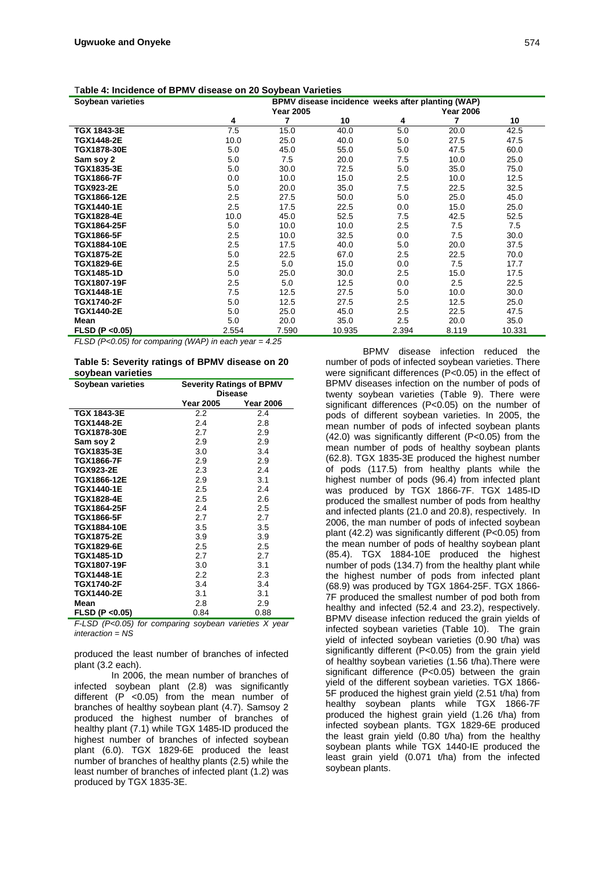| Table 4: Incidence of BPMV disease on 20 Soybean Varieties |  |  |
|------------------------------------------------------------|--|--|
|------------------------------------------------------------|--|--|

| Soybean varieties  |       |                  | BPMV disease incidence weeks after planting (WAP) |       |                  |        |
|--------------------|-------|------------------|---------------------------------------------------|-------|------------------|--------|
|                    |       | <b>Year 2005</b> |                                                   |       | <b>Year 2006</b> |        |
|                    | 4     | 7                | 10                                                | 4     | 7                | 10     |
| TGX 1843-3E        | 7.5   | 15.0             | 40.0                                              | 5.0   | 20.0             | 42.5   |
| TGX1448-2E         | 10.0  | 25.0             | 40.0                                              | 5.0   | 27.5             | 47.5   |
| TGX1878-30E        | 5.0   | 45.0             | 55.0                                              | 5.0   | 47.5             | 60.0   |
| Sam soy 2          | 5.0   | 7.5              | 20.0                                              | 7.5   | 10.0             | 25.0   |
| TGX1835-3E         | 5.0   | 30.0             | 72.5                                              | 5.0   | 35.0             | 75.0   |
| <b>TGX1866-7F</b>  | 0.0   | 10.0             | 15.0                                              | 2.5   | 10.0             | 12.5   |
| <b>TGX923-2E</b>   | 5.0   | 20.0             | 35.0                                              | 7.5   | 22.5             | 32.5   |
| TGX1866-12E        | 2.5   | 27.5             | 50.0                                              | 5.0   | 25.0             | 45.0   |
| <b>TGX1440-1E</b>  | 2.5   | 17.5             | 22.5                                              | 0.0   | 15.0             | 25.0   |
| <b>TGX1828-4E</b>  | 10.0  | 45.0             | 52.5                                              | 7.5   | 42.5             | 52.5   |
| <b>TGX1864-25F</b> | 5.0   | 10.0             | 10.0                                              | 2.5   | 7.5              | 7.5    |
| <b>TGX1866-5F</b>  | 2.5   | 10.0             | 32.5                                              | 0.0   | 7.5              | 30.0   |
| TGX1884-10E        | 2.5   | 17.5             | 40.0                                              | 5.0   | 20.0             | 37.5   |
| <b>TGX1875-2E</b>  | 5.0   | 22.5             | 67.0                                              | 2.5   | 22.5             | 70.0   |
| TGX1829-6E         | 2.5   | 5.0              | 15.0                                              | 0.0   | 7.5              | 17.7   |
| <b>TGX1485-1D</b>  | 5.0   | 25.0             | 30.0                                              | 2.5   | 15.0             | 17.5   |
| <b>TGX1807-19F</b> | 2.5   | 5.0              | 12.5                                              | 0.0   | 2.5              | 22.5   |
| TGX1448-1E         | 7.5   | 12.5             | 27.5                                              | 5.0   | 10.0             | 30.0   |
| <b>TGX1740-2F</b>  | 5.0   | 12.5             | 27.5                                              | 2.5   | 12.5             | 25.0   |
| <b>TGX1440-2E</b>  | 5.0   | 25.0             | 45.0                                              | 2.5   | 22.5             | 47.5   |
| Mean               | 5.0   | 20.0             | 35.0                                              | 2.5   | 20.0             | 35.0   |
| FLSD (P < 0.05)    | 2.554 | 7.590            | 10.935                                            | 2.394 | 8.119            | 10.331 |

*FLSD (P<0.05) for comparing (WAP) in each year = 4.25* 

**Table 5: Severity ratings of BPMV disease on 20 soybean varieties** 

| Soybean varieties  | <b>Severity Ratings of BPMV</b> |                  |  |  |  |
|--------------------|---------------------------------|------------------|--|--|--|
|                    | <b>Disease</b>                  |                  |  |  |  |
|                    | Year 2005                       | <b>Year 2006</b> |  |  |  |
| <b>TGX 1843-3E</b> | $2.2\,$                         | 2.4              |  |  |  |
| TGX1448-2E         | 2.4                             | 2.8              |  |  |  |
| <b>TGX1878-30E</b> | 2.7                             | 2.9              |  |  |  |
| Sam sov 2          | 2.9                             | 2.9              |  |  |  |
| TGX1835-3E         | 3.0                             | 3.4              |  |  |  |
| <b>TGX1866-7F</b>  | 2.9                             | 2.9              |  |  |  |
| <b>TGX923-2E</b>   | 2.3                             | 2.4              |  |  |  |
| TGX1866-12E        | 2.9                             | 3.1              |  |  |  |
| <b>TGX1440-1E</b>  | 2.5                             | 2.4              |  |  |  |
| <b>TGX1828-4E</b>  | 2.5                             | 2.6              |  |  |  |
| <b>TGX1864-25F</b> | 2.4                             | 2.5              |  |  |  |
| <b>TGX1866-5F</b>  | 2.7                             | 2.7              |  |  |  |
| <b>TGX1884-10E</b> | 3.5                             | 3.5              |  |  |  |
| <b>TGX1875-2E</b>  | 3.9                             | 3.9              |  |  |  |
| TGX1829-6E         | 2.5                             | 2.5              |  |  |  |
| <b>TGX1485-1D</b>  | 2.7                             | 2.7              |  |  |  |
| <b>TGX1807-19F</b> | 3.0                             | 3.1              |  |  |  |
| <b>TGX1448-1E</b>  | 2.2                             | 2.3              |  |  |  |
| <b>TGX1740-2F</b>  | 3.4                             | 3.4              |  |  |  |
| <b>TGX1440-2E</b>  | 3.1                             | 3.1              |  |  |  |
| Mean               | 2.8                             | 2.9              |  |  |  |
| FLSD (P < 0.05)    | 0.84                            | 0.88             |  |  |  |

*F-LSD (P<0.05) for comparing soybean varieties X year interaction = NS* 

produced the least number of branches of infected plant (3.2 each).

In 2006, the mean number of branches of infected soybean plant (2.8) was significantly different (P <0.05) from the mean number of branches of healthy soybean plant (4.7). Samsoy 2 produced the highest number of branches of healthy plant (7.1) while TGX 1485-ID produced the highest number of branches of infected soybean plant (6.0). TGX 1829-6E produced the least number of branches of healthy plants (2.5) while the least number of branches of infected plant (1.2) was produced by TGX 1835-3E.

BPMV disease infection reduced the number of pods of infected soybean varieties. There were significant differences (P<0.05) in the effect of BPMV diseases infection on the number of pods of twenty soybean varieties (Table 9). There were significant differences (P<0.05) on the number of pods of different soybean varieties. In 2005, the mean number of pods of infected soybean plants (42.0) was significantly different (P<0.05) from the mean number of pods of healthy soybean plants (62.8). TGX 1835-3E produced the highest number of pods (117.5) from healthy plants while the highest number of pods (96.4) from infected plant was produced by TGX 1866-7F. TGX 1485-ID produced the smallest number of pods from healthy and infected plants (21.0 and 20.8), respectively. In 2006, the man number of pods of infected soybean plant (42.2) was significantly different (P<0.05) from the mean number of pods of healthy soybean plant (85.4). TGX 1884-10E produced the highest number of pods (134.7) from the healthy plant while the highest number of pods from infected plant (68.9) was produced by TGX 1864-25F. TGX 1866- 7F produced the smallest number of pod both from healthy and infected (52.4 and 23.2), respectively. BPMV disease infection reduced the grain yields of infected soybean varieties (Table 10). The grain yield of infected soybean varieties (0.90 t/ha) was significantly different (P<0.05) from the grain yield of healthy soybean varieties (1.56 t/ha).There were significant difference (P<0.05) between the grain yield of the different soybean varieties. TGX 1866- 5F produced the highest grain yield (2.51 t/ha) from healthy soybean plants while TGX 1866-7F produced the highest grain yield (1.26 t/ha) from infected soybean plants. TGX 1829-6E produced the least grain yield (0.80 t/ha) from the healthy soybean plants while TGX 1440-IE produced the least grain yield (0.071 t/ha) from the infected soybean plants.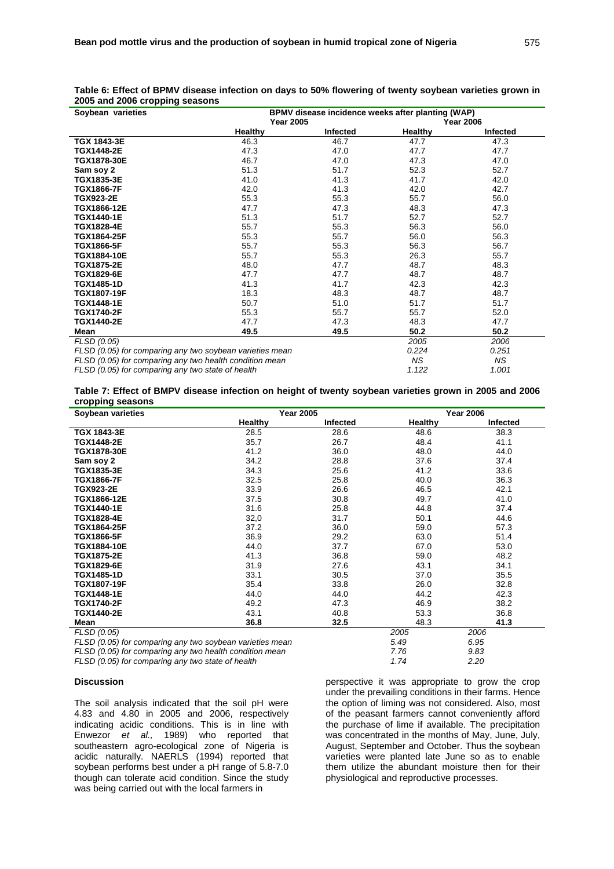| $5$ and $2000$ or upping coaponio<br>Soybean varieties   | BPMV disease incidence weeks after planting (WAP) |                 |         |                  |  |
|----------------------------------------------------------|---------------------------------------------------|-----------------|---------|------------------|--|
|                                                          | <b>Year 2005</b>                                  |                 |         | <b>Year 2006</b> |  |
|                                                          | Healthy                                           | <b>Infected</b> | Healthy | Infected         |  |
| TGX 1843-3E                                              | 46.3                                              | 46.7            | 47.7    | 47.3             |  |
| <b>TGX1448-2E</b>                                        | 47.3                                              | 47.0            | 47.7    | 47.7             |  |
| TGX1878-30E                                              | 46.7                                              | 47.0            | 47.3    | 47.0             |  |
| Sam soy 2                                                | 51.3                                              | 51.7            | 52.3    | 52.7             |  |
| TGX1835-3E                                               | 41.0                                              | 41.3            | 41.7    | 42.0             |  |
| <b>TGX1866-7F</b>                                        | 42.0                                              | 41.3            | 42.0    | 42.7             |  |
| <b>TGX923-2E</b>                                         | 55.3                                              | 55.3            | 55.7    | 56.0             |  |
| TGX1866-12E                                              | 47.7                                              | 47.3            | 48.3    | 47.3             |  |
| <b>TGX1440-1E</b>                                        | 51.3                                              | 51.7            | 52.7    | 52.7             |  |
| <b>TGX1828-4E</b>                                        | 55.7                                              | 55.3            | 56.3    | 56.0             |  |
| TGX1864-25F                                              | 55.3                                              | 55.7            | 56.0    | 56.3             |  |
| <b>TGX1866-5F</b>                                        | 55.7                                              | 55.3            | 56.3    | 56.7             |  |
| <b>TGX1884-10E</b>                                       | 55.7                                              | 55.3            | 26.3    | 55.7             |  |
| <b>TGX1875-2E</b>                                        | 48.0                                              | 47.7            | 48.7    | 48.3             |  |
| TGX1829-6E                                               | 47.7                                              | 47.7            | 48.7    | 48.7             |  |
| <b>TGX1485-1D</b>                                        | 41.3                                              | 41.7            | 42.3    | 42.3             |  |
| TGX1807-19F                                              | 18.3                                              | 48.3            | 48.7    | 48.7             |  |
| TGX1448-1E                                               | 50.7                                              | 51.0            | 51.7    | 51.7             |  |
| <b>TGX1740-2F</b>                                        | 55.3                                              | 55.7            | 55.7    | 52.0             |  |
| <b>TGX1440-2E</b>                                        | 47.7                                              | 47.3            | 48.3    | 47.7             |  |
| Mean                                                     | 49.5                                              | 49.5            | 50.2    | 50.2             |  |
| FLSD (0.05)                                              |                                                   |                 | 2005    | 2006             |  |
| FLSD (0.05) for comparing any two soybean varieties mean |                                                   |                 | 0.224   | 0.251            |  |
| FLSD (0.05) for comparing any two health condition mean  |                                                   |                 | ΝS      | ΝS               |  |

**Table 6: Effect of BPMV disease infection on days to 50% flowering of twenty soybean varieties grown in 2005 and 2006 cropping seasons** 

*FLSD (0.05) for comparing any two state of health* 1.122 1.001 **1.001** 1.122 1.001

#### **Table 7: Effect of BMPV disease infection on height of twenty soybean varieties grown in 2005 and 2006 cropping seasons**

| Soybean varieties                                        |         | <b>Year 2005</b> |         | <b>Year 2006</b> |
|----------------------------------------------------------|---------|------------------|---------|------------------|
|                                                          | Healthy | Infected         | Healthy | <b>Infected</b>  |
| TGX 1843-3E                                              | 28.5    | 28.6             | 48.6    | 38.3             |
| TGX1448-2E                                               | 35.7    | 26.7             | 48.4    | 41.1             |
| <b>TGX1878-30E</b>                                       | 41.2    | 36.0             | 48.0    | 44.0             |
| Sam soy 2                                                | 34.2    | 28.8             | 37.6    | 37.4             |
| TGX1835-3E                                               | 34.3    | 25.6             | 41.2    | 33.6             |
| TGX1866-7F                                               | 32.5    | 25.8             | 40.0    | 36.3             |
| <b>TGX923-2E</b>                                         | 33.9    | 26.6             | 46.5    | 42.1             |
| TGX1866-12E                                              | 37.5    | 30.8             | 49.7    | 41.0             |
| <b>TGX1440-1E</b>                                        | 31.6    | 25.8             | 44.8    | 37.4             |
| TGX1828-4E                                               | 32,0    | 31.7             | 50.1    | 44.6             |
| <b>TGX1864-25F</b>                                       | 37.2    | 36.0             | 59.0    | 57.3             |
| <b>TGX1866-5F</b>                                        | 36.9    | 29.2             | 63.0    | 51.4             |
| <b>TGX1884-10E</b>                                       | 44.0    | 37.7             | 67.0    | 53.0             |
| <b>TGX1875-2E</b>                                        | 41.3    | 36.8             | 59.0    | 48.2             |
| TGX1829-6E                                               | 31.9    | 27.6             | 43.1    | 34.1             |
| <b>TGX1485-1D</b>                                        | 33.1    | 30.5             | 37.0    | 35.5             |
| <b>TGX1807-19F</b>                                       | 35.4    | 33.8             | 26.0    | 32.8             |
| <b>TGX1448-1E</b>                                        | 44.0    | 44.0             | 44.2    | 42.3             |
| <b>TGX1740-2F</b>                                        | 49.2    | 47.3             | 46.9    | 38.2             |
| <b>TGX1440-2E</b>                                        | 43.1    | 40.8             | 53.3    | 36.8             |
| Mean                                                     | 36.8    | 32.5             | 48.3    | 41.3             |
| FLSD (0.05)                                              |         |                  | 2005    | 2006             |
| FLSD (0.05) for comparing any two soybean varieties mean |         |                  | 5.49    | 6.95             |

*FLSD (0.05) for comparing any two health condition mean 7.76 9.83 FLSD (0.05) for comparing any two state of health 1.74 2.20*

#### **Discussion**

The soil analysis indicated that the soil pH were 4.83 and 4.80 in 2005 and 2006, respectively indicating acidic conditions. This is in line with Enwezor *et al.,* 1989) who reported that southeastern agro-ecological zone of Nigeria is acidic naturally. NAERLS (1994) reported that soybean performs best under a pH range of 5.8-7.0 though can tolerate acid condition. Since the study was being carried out with the local farmers in

perspective it was appropriate to grow the crop under the prevailing conditions in their farms. Hence the option of liming was not considered. Also, most of the peasant farmers cannot conveniently afford the purchase of lime if available. The precipitation was concentrated in the months of May, June, July, August, September and October. Thus the soybean varieties were planted late June so as to enable them utilize the abundant moisture then for their physiological and reproductive processes.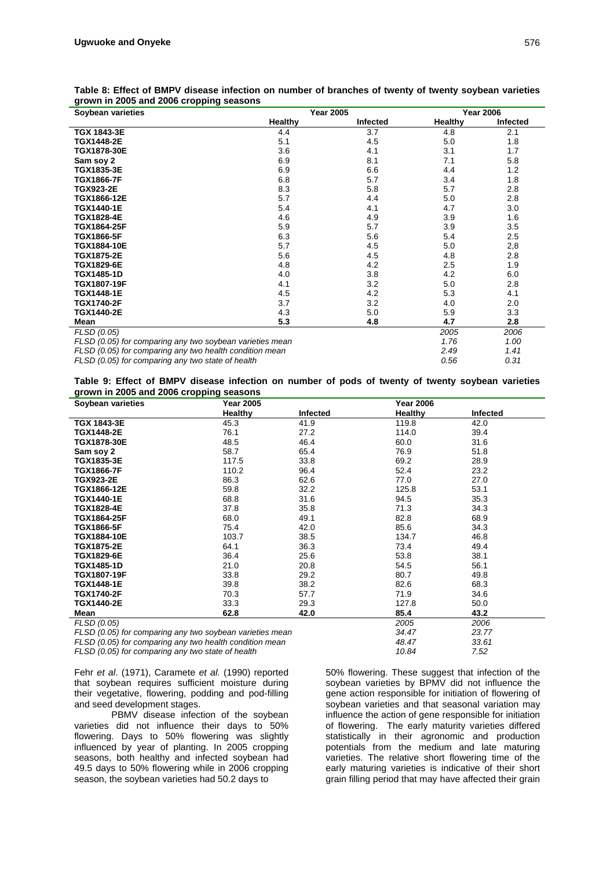| Soybean varieties                                        |                | <b>Year 2005</b> |                | <b>Year 2006</b>     |
|----------------------------------------------------------|----------------|------------------|----------------|----------------------|
|                                                          | <b>Healthy</b> | <b>Infected</b>  | Healthy        | Infected             |
| TGX 1843-3E                                              | 4.4            | 3.7              | 4.8            | 2.1                  |
| TGX1448-2E                                               | 5.1            | 4.5              | 5.0            | 1.8                  |
| TGX1878-30E                                              | 3.6            | 4.1              | 3.1            | 1.7                  |
| Sam soy 2                                                | 6.9            | 8.1              | 7.1            | 5.8                  |
| TGX1835-3E                                               | 6.9            | 6.6              | 4.4            | 1.2                  |
| <b>TGX1866-7F</b>                                        | 6.8            | 5.7              | 3.4            | 1.8                  |
| <b>TGX923-2E</b>                                         | 8.3            | 5.8              | 5.7            | 2.8                  |
| TGX1866-12E                                              | 5.7            | 4.4              | 5.0            | 2.8                  |
| TGX1440-1E                                               | 5.4            | 4.1              | 4.7            | 3.0                  |
| <b>TGX1828-4E</b>                                        | 4.6            | 4.9              | 3.9            | 1.6                  |
| <b>TGX1864-25F</b>                                       | 5.9            | 5.7              | 3.9            | 3.5                  |
| TGX1866-5F                                               | 6.3            | 5.6              | 5.4            | 2.5                  |
| TGX1884-10E                                              | 5.7            | 4.5              | 5.0            | 2,8                  |
| TGX1875-2E                                               | 5.6            | 4.5              | 4.8            | 2.8                  |
| TGX1829-6E                                               | 4.8            | 4.2              | 2.5            | 1.9                  |
| <b>TGX1485-1D</b>                                        | 4.0            | 3.8              | 4.2            | 6.0                  |
| TGX1807-19F                                              | 4.1            | 3.2              | 5.0            | 2.8                  |
| TGX1448-1E                                               | 4.5            | 4.2              | 5.3            | 4.1                  |
| TGX1740-2F                                               | 3.7            | 3.2              | 4.0            | 2.0                  |
| TGX1440-2E                                               | 4.3            | 5.0              | 5.9            | 3.3                  |
| Mean                                                     | 5.3            | 4.8              | 4.7            | 2.8                  |
| FLSD (0.05)                                              |                |                  | 2005           | 2006                 |
| FLSD (0.05) for comparing any two soybean varieties mean |                |                  | 1.76           | 1.00                 |
| FLSD (0.05) for comparing any two health condition mean  |                |                  | 2.49           | 1.41                 |
|                                                          |                |                  | $\sim$ $ \sim$ | $\sim$ $\sim$ $\sim$ |

## **Table 8: Effect of BMPV disease infection on number of branches of twenty of twenty soybean varieties grown in 2005 and 2006 cropping seasons**

*FLSD (0.05) for comparing any two state of health 0.56 0.31*

**Table 9: Effect of BMPV disease infection on number of pods of twenty of twenty soybean varieties grown in 2005 and 2006 cropping seasons** 

| Soybean varieties                                        | <b>Year 2005</b> |                 | <b>Year 2006</b> |          |
|----------------------------------------------------------|------------------|-----------------|------------------|----------|
|                                                          | <b>Healthy</b>   | <b>Infected</b> | <b>Healthy</b>   | Infected |
| TGX 1843-3E                                              | 45.3             | 41.9            | 119.8            | 42.0     |
| TGX1448-2E                                               | 76.1             | 27.2            | 114.0            | 39.4     |
| <b>TGX1878-30E</b>                                       | 48.5             | 46.4            | 60.0             | 31.6     |
| Sam soy 2                                                | 58.7             | 65.4            | 76.9             | 51.8     |
| TGX1835-3E                                               | 117.5            | 33.8            | 69.2             | 28.9     |
| <b>TGX1866-7F</b>                                        | 110.2            | 96.4            | 52.4             | 23.2     |
| <b>TGX923-2E</b>                                         | 86.3             | 62.6            | 77.0             | 27.0     |
| TGX1866-12E                                              | 59.8             | 32.2            | 125.8            | 53.1     |
| <b>TGX1440-1E</b>                                        | 68.8             | 31.6            | 94.5             | 35.3     |
| <b>TGX1828-4E</b>                                        | 37.8             | 35.8            | 71.3             | 34.3     |
| <b>TGX1864-25F</b>                                       | 68.0             | 49.1            | 82.8             | 68.9     |
| <b>TGX1866-5F</b>                                        | 75.4             | 42.0            | 85.6             | 34.3     |
| <b>TGX1884-10E</b>                                       | 103.7            | 38.5            | 134.7            | 46.8     |
| <b>TGX1875-2E</b>                                        | 64.1             | 36.3            | 73.4             | 49.4     |
| <b>TGX1829-6E</b>                                        | 36.4             | 25.6            | 53.8             | 38.1     |
| <b>TGX1485-1D</b>                                        | 21.0             | 20.8            | 54.5             | 56.1     |
| <b>TGX1807-19F</b>                                       | 33.8             | 29.2            | 80.7             | 49.8     |
| <b>TGX1448-1E</b>                                        | 39.8             | 38.2            | 82.6             | 68.3     |
| <b>TGX1740-2F</b>                                        | 70.3             | 57.7            | 71.9             | 34.6     |
| TGX1440-2E                                               | 33.3             | 29.3            | 127.8            | 50.0     |
| Mean                                                     | 62.8             | 42.0            | 85.4             | 43.2     |
| FLSD (0.05)                                              |                  |                 | 2005             | 2006     |
| FLSD (0.05) for comparing any two soybean varieties mean |                  |                 | 34.47            | 23.77    |
| FLSD (0.05) for comparing any two health condition mean  |                  |                 | 48.47            | 33.61    |

*FLSD (0.05) for comparing any two state of health 10.84 7.52*

Fehr *et al*. (1971), Caramete *et al.* (1990) reported that soybean requires sufficient moisture during their vegetative, flowering, podding and pod-filling and seed development stages.

 PBMV disease infection of the soybean varieties did not influence their days to 50% flowering. Days to 50% flowering was slightly influenced by year of planting. In 2005 cropping seasons, both healthy and infected soybean had 49.5 days to 50% flowering while in 2006 cropping season, the soybean varieties had 50.2 days to

50% flowering. These suggest that infection of the soybean varieties by BPMV did not influence the gene action responsible for initiation of flowering of soybean varieties and that seasonal variation may influence the action of gene responsible for initiation of flowering. The early maturity varieties differed statistically in their agronomic and production potentials from the medium and late maturing varieties. The relative short flowering time of the early maturing varieties is indicative of their short grain filling period that may have affected their grain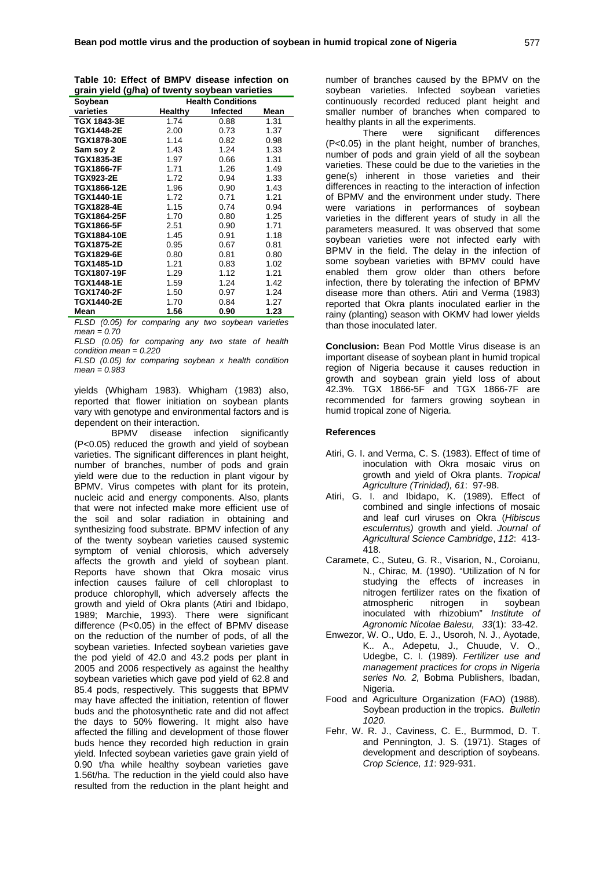|  |  |  | Table 10: Effect of BMPV disease infection on  |  |
|--|--|--|------------------------------------------------|--|
|  |  |  | grain yield (g/ha) of twenty soybean varieties |  |

| Soybean            | <b>Health Conditions</b> |                 |      |
|--------------------|--------------------------|-----------------|------|
| varieties          | Healthy                  | <b>Infected</b> | Mean |
| TGX 1843-3E        | 1.74                     | 0.88            | 1.31 |
| TGX1448-2E         | 2.00                     | 0.73            | 1.37 |
| TGX1878-30E        | 1.14                     | 0.82            | 0.98 |
| Sam soy 2          | 1.43                     | 1.24            | 1.33 |
| TGX1835-3E         | 1.97                     | 0.66            | 1.31 |
| TGX1866-7F         | 1.71                     | 1.26            | 1.49 |
| <b>TGX923-2E</b>   | 1.72                     | 0.94            | 1.33 |
| TGX1866-12E        | 1.96                     | 0.90            | 1.43 |
| <b>TGX1440-1E</b>  | 1.72                     | 0.71            | 1.21 |
| <b>TGX1828-4E</b>  | 1.15                     | 0.74            | 0.94 |
| <b>TGX1864-25F</b> | 1.70                     | 0.80            | 1.25 |
| <b>TGX1866-5F</b>  | 2.51                     | 0.90            | 1.71 |
| TGX1884-10E        | 1.45                     | 0.91            | 1.18 |
| <b>TGX1875-2E</b>  | 0.95                     | 0.67            | 0.81 |
| TGX1829-6E         | 0.80                     | 0.81            | 0.80 |
| <b>TGX1485-1D</b>  | 1.21                     | 0.83            | 1.02 |
| <b>TGX1807-19F</b> | 1.29                     | 1.12            | 1.21 |
| <b>TGX1448-1E</b>  | 1.59                     | 1.24            | 1.42 |
| <b>TGX1740-2F</b>  | 1.50                     | 0.97            | 1.24 |
| TGX1440-2E         | 1.70                     | 0.84            | 1.27 |
| Mean               | 1.56                     | 0.90            | 1.23 |

*FLSD (0.05) for comparing any two soybean varieties mean = 0.70* 

*FLSD (0.05) for comparing any two state of health condition mean = 0.220* 

*FLSD (0.05) for comparing soybean x health condition mean = 0.983* 

yields (Whigham 1983). Whigham (1983) also, reported that flower initiation on soybean plants vary with genotype and environmental factors and is dependent on their interaction.

 BPMV disease infection significantly (P<0.05) reduced the growth and yield of soybean varieties. The significant differences in plant height, number of branches, number of pods and grain yield were due to the reduction in plant vigour by BPMV. Virus competes with plant for its protein, nucleic acid and energy components. Also, plants that were not infected make more efficient use of the soil and solar radiation in obtaining and synthesizing food substrate. BPMV infection of any of the twenty soybean varieties caused systemic symptom of venial chlorosis, which adversely affects the growth and yield of soybean plant. Reports have shown that Okra mosaic virus infection causes failure of cell chloroplast to produce chlorophyll, which adversely affects the growth and yield of Okra plants (Atiri and Ibidapo, 1989; Marchie, 1993). There were significant difference (P<0.05) in the effect of BPMV disease on the reduction of the number of pods, of all the soybean varieties. Infected soybean varieties gave the pod yield of 42.0 and 43.2 pods per plant in 2005 and 2006 respectively as against the healthy soybean varieties which gave pod yield of 62.8 and 85.4 pods, respectively. This suggests that BPMV may have affected the initiation, retention of flower buds and the photosynthetic rate and did not affect the days to 50% flowering. It might also have affected the filling and development of those flower buds hence they recorded high reduction in grain yield. Infected soybean varieties gave grain yield of 0.90 t/ha while healthy soybean varieties gave 1.56t/ha. The reduction in the yield could also have resulted from the reduction in the plant height and

 There were significant differences (P<0.05) in the plant height, number of branches, number of pods and grain yield of all the soybean varieties. These could be due to the varieties in the gene(s) inherent in those varieties and their differences in reacting to the interaction of infection of BPMV and the environment under study. There were variations in performances of soybean varieties in the different years of study in all the parameters measured. It was observed that some soybean varieties were not infected early with BPMV in the field. The delay in the infection of some soybean varieties with BPMV could have enabled them grow older than others before infection, there by tolerating the infection of BPMV disease more than others. Atiri and Verma (1983) reported that Okra plants inoculated earlier in the rainy (planting) season with OKMV had lower yields than those inoculated later.

**Conclusion:** Bean Pod Mottle Virus disease is an important disease of soybean plant in humid tropical region of Nigeria because it causes reduction in growth and soybean grain yield loss of about 42.3%. TGX 1866-5F and TGX 1866-7F are recommended for farmers growing soybean in humid tropical zone of Nigeria.

### **References**

- Atiri, G. I. and Verma, C. S. (1983). Effect of time of inoculation with Okra mosaic virus on growth and yield of Okra plants. *Tropical Agriculture (Trinidad), 61*: 97-98.
- Atiri, G. I. and Ibidapo, K. (1989). Effect of combined and single infections of mosaic and leaf curl viruses on Okra (*Hibiscus esculerntus)* growth and yield. *Journal of Agricultural Science Cambridge*, *112*: 413- 418.
- Caramete, C., Suteu, G. R., Visarion, N., Coroianu, N., Chirac, M. (1990). "Utilization of N for studying the effects of increases in nitrogen fertilizer rates on the fixation of atmospheric nitrogen in soybean inoculated with rhizobium" *Institute of Agronomic Nicolae Balesu, 33*(1): 33-42.
- Enwezor, W. O., Udo, E. J., Usoroh, N. J., Ayotade, K.. A., Adepetu, J., Chuude, V. O., Udegbe, C. I. (1989). *Fertilizer use and management practices for crops in Nigeria series No. 2,* Bobma Publishers, Ibadan, Nigeria.
- Food and Agriculture Organization (FAO) (1988). Soybean production in the tropics. *Bulletin 1020*.
- Fehr, W. R. J., Caviness, C. E., Burmmod, D. T. and Pennington, J. S. (1971). Stages of development and description of soybeans. *Crop Science, 11*: 929-931.